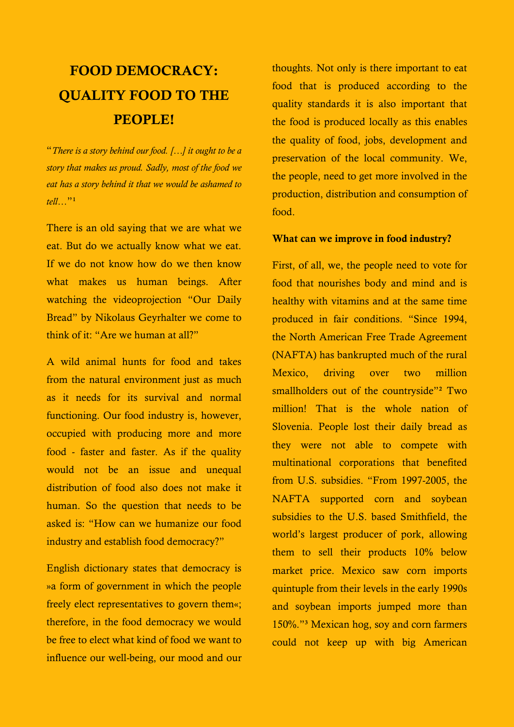# **FOOD DEMOCRACY: QUALITY FOOD TO THE PEOPLE!**

"*There is a story behind our food. […] it ought to be a story that makes us proud. Sadly, most of the food we eat has a story behind it that we would be ashamed to tell…*"<sup>1</sup>

There is an old saying that we are what we eat. But do we actually know what we eat. If we do not know how do we then know what makes us human beings. After watching the videoprojection "Our Daily Bread" by Nikolaus Geyrhalter we come to think of it: "Are we human at all?"

A wild animal hunts for food and takes from the natural environment just as much as it needs for its survival and normal functioning. Our food industry is, however, occupied with producing more and more food - faster and faster. As if the quality would not be an issue and unequal distribution of food also does not make it human. So the question that needs to be asked is: "How can we humanize our food industry and establish food democracy?"

English dictionary states that democracy is »a form of government in which the people freely elect representatives to govern them«; therefore, in the food democracy we would be free to elect what kind of food we want to influence our well-being, our mood and our

thoughts. Not only is there important to eat food that is produced according to the quality standards it is also important that the food is produced locally as this enables the quality of food, jobs, development and preservation of the local community. We, the people, need to get more involved in the production, distribution and consumption of food.

### **What can we improve in food industry?**

First, of all, we, the people need to vote for food that nourishes body and mind and is healthy with vitamins and at the same time produced in fair conditions. "Since 1994, the North American Free Trade Agreement (NAFTA) has bankrupted much of the rural Mexico, driving over two million smallholders out of the countryside"<sup>2</sup> Two million! That is the whole nation of Slovenia. People lost their daily bread as they were not able to compete with multinational corporations that benefited from U.S. subsidies. "From 1997-2005, the NAFTA supported corn and soybean subsidies to the U.S. based Smithfield, the world's largest producer of pork, allowing them to sell their products 10% below market price. Mexico saw corn imports quintuple from their levels in the early 1990s and soybean imports jumped more than 150%."³ Mexican hog, soy and corn farmers could not keep up with big American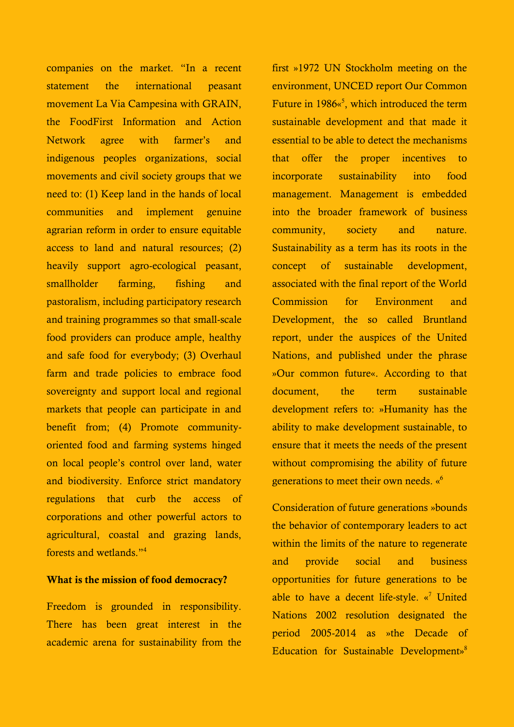companies on the market. "In a recent statement the international peasant movement La Via Campesina with GRAIN, the FoodFirst Information and Action Network agree with farmer's and indigenous peoples organizations, social movements and civil society groups that we need to: (1) Keep land in the hands of local communities and implement genuine agrarian reform in order to ensure equitable access to land and natural resources; (2) heavily support agro-ecological peasant, smallholder farming, fishing and pastoralism, including participatory research and training programmes so that small-scale food providers can produce ample, healthy and safe food for everybody; (3) Overhaul farm and trade policies to embrace food sovereignty and support local and regional markets that people can participate in and benefit from; (4) Promote communityoriented food and farming systems hinged on local people's control over land, water and biodiversity. Enforce strict mandatory regulations that curb the access of corporations and other powerful actors to agricultural, coastal and grazing lands, forests and wetlands."<sup>4</sup>

#### **What is the mission of food democracy?**

Freedom is grounded in responsibility. There has been great interest in the academic arena for sustainability from the

first »1972 UN Stockholm meeting on the environment, UNCED report Our Common Future in 1986«<sup>5</sup>, which introduced the term sustainable development and that made it essential to be able to detect the mechanisms that offer the proper incentives to incorporate sustainability into food management. Management is embedded into the broader framework of business community, society and nature. Sustainability as a term has its roots in the concept of sustainable development, associated with the final report of the World Commission for Environment and Development, the so called Bruntland report, under the auspices of the United Nations, and published under the phrase »Our common future«. According to that document, the term sustainable development refers to: »Humanity has the ability to make development sustainable, to ensure that it meets the needs of the present without compromising the ability of future generations to meet their own needs. «<sup>6</sup>

Consideration of future generations »bounds the behavior of contemporary leaders to act within the limits of the nature to regenerate and provide social and business opportunities for future generations to be able to have a decent life-style.  $\alpha^7$  United Nations 2002 resolution designated the period 2005-2014 as »the Decade of Education for Sustainable Development» 8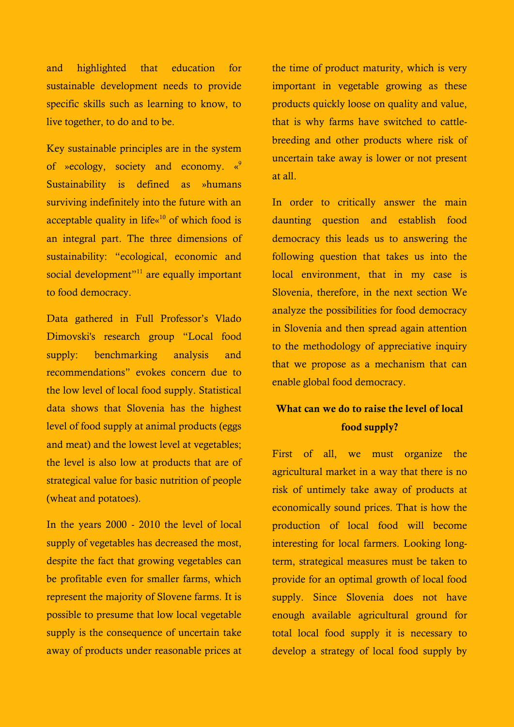and highlighted that education for sustainable development needs to provide specific skills such as learning to know, to live together, to do and to be.

Key sustainable principles are in the system of »ecology, society and economy. «<sup>9</sup> Sustainability is defined as »humans surviving indefinitely into the future with an acceptable quality in life« $10$  of which food is an integral part. The three dimensions of sustainability: "ecological, economic and social development"<sup>11</sup> are equally important to food democracy.

Data gathered in Full Professor's Vlado Dimovski's research group "Local food supply: benchmarking analysis and recommendations" evokes concern due to the low level of local food supply. Statistical data shows that Slovenia has the highest level of food supply at animal products (eggs and meat) and the lowest level at vegetables; the level is also low at products that are of strategical value for basic nutrition of people (wheat and potatoes).

In the years 2000 - 2010 the level of local supply of vegetables has decreased the most, despite the fact that growing vegetables can be profitable even for smaller farms, which represent the majority of Slovene farms. It is possible to presume that low local vegetable supply is the consequence of uncertain take away of products under reasonable prices at the time of product maturity, which is very important in vegetable growing as these products quickly loose on quality and value, that is why farms have switched to cattlebreeding and other products where risk of uncertain take away is lower or not present at all.

In order to critically answer the main daunting question and establish food democracy this leads us to answering the following question that takes us into the local environment, that in my case is Slovenia, therefore, in the next section We analyze the possibilities for food democracy in Slovenia and then spread again attention to the methodology of appreciative inquiry that we propose as a mechanism that can enable global food democracy.

## **What can we do to raise the level of local food supply?**

First of all, we must organize the agricultural market in a way that there is no risk of untimely take away of products at economically sound prices. That is how the production of local food will become interesting for local farmers. Looking longterm, strategical measures must be taken to provide for an optimal growth of local food supply. Since Slovenia does not have enough available agricultural ground for total local food supply it is necessary to develop a strategy of local food supply by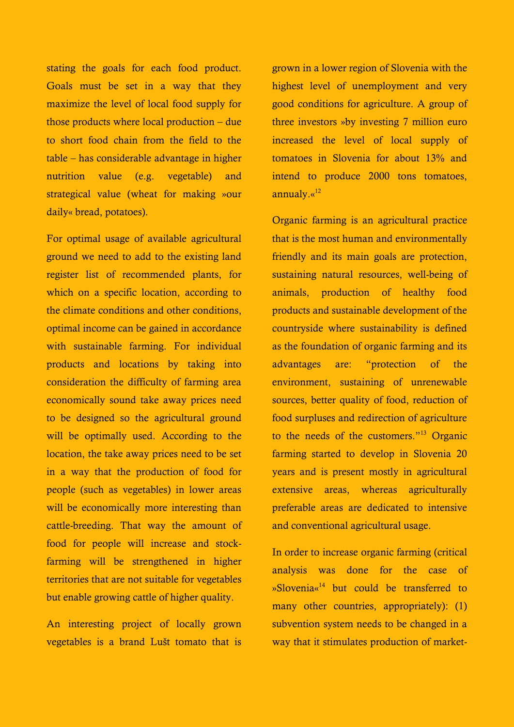stating the goals for each food product. Goals must be set in a way that they maximize the level of local food supply for those products where local production – due to short food chain from the field to the table – has considerable advantage in higher nutrition value (e.g. vegetable) and strategical value (wheat for making »our daily« bread, potatoes).

For optimal usage of available agricultural ground we need to add to the existing land register list of recommended plants, for which on a specific location, according to the climate conditions and other conditions, optimal income can be gained in accordance with sustainable farming. For individual products and locations by taking into consideration the difficulty of farming area economically sound take away prices need to be designed so the agricultural ground will be optimally used. According to the location, the take away prices need to be set in a way that the production of food for people (such as vegetables) in lower areas will be economically more interesting than cattle-breeding. That way the amount of food for people will increase and stockfarming will be strengthened in higher territories that are not suitable for vegetables but enable growing cattle of higher quality.

An interesting project of locally grown vegetables is a brand Lušt tomato that is grown in a lower region of Slovenia with the highest level of unemployment and very good conditions for agriculture. A group of three investors »by investing 7 million euro increased the level of local supply of tomatoes in Slovenia for about 13% and intend to produce 2000 tons tomatoes, annualy.«<sup>12</sup>

Organic farming is an agricultural practice that is the most human and environmentally friendly and its main goals are protection, sustaining natural resources, well-being of animals, production of healthy food products and sustainable development of the countryside where sustainability is defined as the foundation of organic farming and its advantages are: "protection of the environment, sustaining of unrenewable sources, better quality of food, reduction of food surpluses and redirection of agriculture to the needs of the customers."<sup>13</sup> Organic farming started to develop in Slovenia 20 years and is present mostly in agricultural extensive areas, whereas agriculturally preferable areas are dedicated to intensive and conventional agricultural usage.

In order to increase organic farming (critical analysis was done for the case of »Slovenia« <sup>14</sup> but could be transferred to many other countries, appropriately): (1) subvention system needs to be changed in a way that it stimulates production of market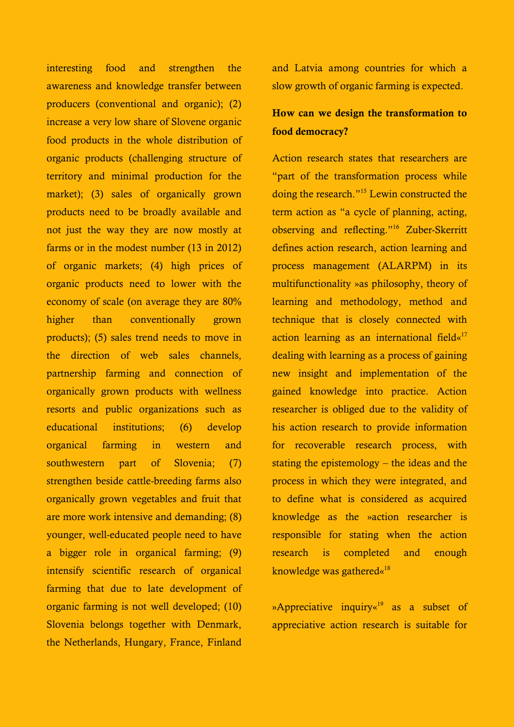interesting food and strengthen the awareness and knowledge transfer between producers (conventional and organic); (2) increase a very low share of Slovene organic food products in the whole distribution of organic products (challenging structure of territory and minimal production for the market); (3) sales of organically grown products need to be broadly available and not just the way they are now mostly at farms or in the modest number (13 in 2012) of organic markets; (4) high prices of organic products need to lower with the economy of scale (on average they are 80% higher than conventionally grown products); (5) sales trend needs to move in the direction of web sales channels, partnership farming and connection of organically grown products with wellness resorts and public organizations such as educational institutions; (6) develop organical farming in western and southwestern part of Slovenia; (7) strengthen beside cattle-breeding farms also organically grown vegetables and fruit that are more work intensive and demanding; (8) younger, well-educated people need to have a bigger role in organical farming; (9) intensify scientific research of organical farming that due to late development of organic farming is not well developed; (10) Slovenia belongs together with Denmark, the Netherlands, Hungary, France, Finland

and Latvia among countries for which a slow growth of organic farming is expected.

# **How can we design the transformation to food democracy?**

Action research states that researchers are "part of the transformation process while doing the research."<sup>15</sup> Lewin constructed the term action as "a cycle of planning, acting, observing and reflecting."<sup>16</sup> Zuber-Skerritt defines action research, action learning and process management (ALARPM) in its multifunctionality »as philosophy, theory of learning and methodology, method and technique that is closely connected with action learning as an international field«<sup>17</sup> dealing with learning as a process of gaining new insight and implementation of the gained knowledge into practice. Action researcher is obliged due to the validity of his action research to provide information for recoverable research process, with stating the epistemology – the ideas and the process in which they were integrated, and to define what is considered as acquired knowledge as the »action researcher is responsible for stating when the action research is completed and enough knowledge was gathered«<sup>18</sup>

»Appreciative inquiry«<sup>19</sup> as a subset of appreciative action research is suitable for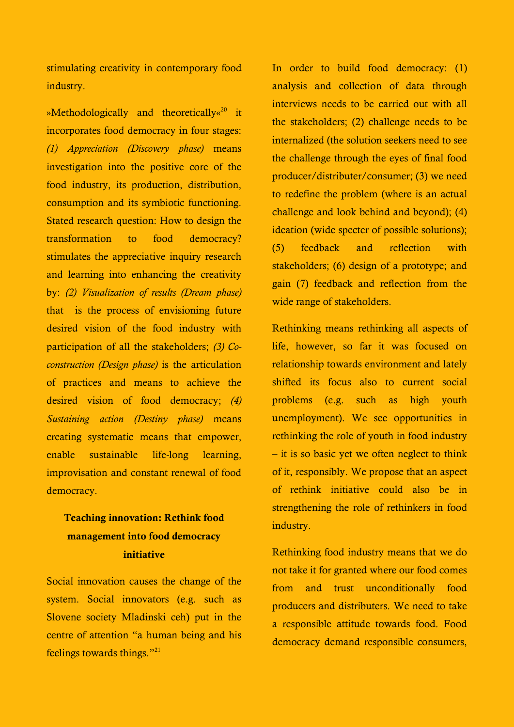stimulating creativity in contemporary food industry.

»Methodologically and theoretically«<sup>20</sup> it incorporates food democracy in four stages: *(1) Appreciation (Discovery phase)* means investigation into the positive core of the food industry, its production, distribution, consumption and its symbiotic functioning. Stated research question: How to design the transformation to food democracy? stimulates the appreciative inquiry research and learning into enhancing the creativity by: *(2) Visualization of results (Dream phase)* that is the process of envisioning future desired vision of the food industry with participation of all the stakeholders; *(3) Coconstruction (Design phase)* is the articulation of practices and means to achieve the desired vision of food democracy; *(4) Sustaining action (Destiny phase)* means creating systematic means that empower, enable sustainable life-long learning, improvisation and constant renewal of food democracy.

# **Teaching innovation: Rethink food management into food democracy initiative**

Social innovation causes the change of the system. Social innovators (e.g. such as Slovene society Mladinski ceh) put in the centre of attention "a human being and his feelings towards things."<sup>21</sup>

In order to build food democracy: (1) analysis and collection of data through interviews needs to be carried out with all the stakeholders; (2) challenge needs to be internalized (the solution seekers need to see the challenge through the eyes of final food producer/distributer/consumer; (3) we need to redefine the problem (where is an actual challenge and look behind and beyond); (4) ideation (wide specter of possible solutions); (5) feedback and reflection with stakeholders; (6) design of a prototype; and gain (7) feedback and reflection from the wide range of stakeholders.

Rethinking means rethinking all aspects of life, however, so far it was focused on relationship towards environment and lately shifted its focus also to current social problems (e.g. such as high youth unemployment). We see opportunities in rethinking the role of youth in food industry – it is so basic yet we often neglect to think of it, responsibly. We propose that an aspect of rethink initiative could also be in strengthening the role of rethinkers in food industry.

Rethinking food industry means that we do not take it for granted where our food comes from and trust unconditionally food producers and distributers. We need to take a responsible attitude towards food. Food democracy demand responsible consumers,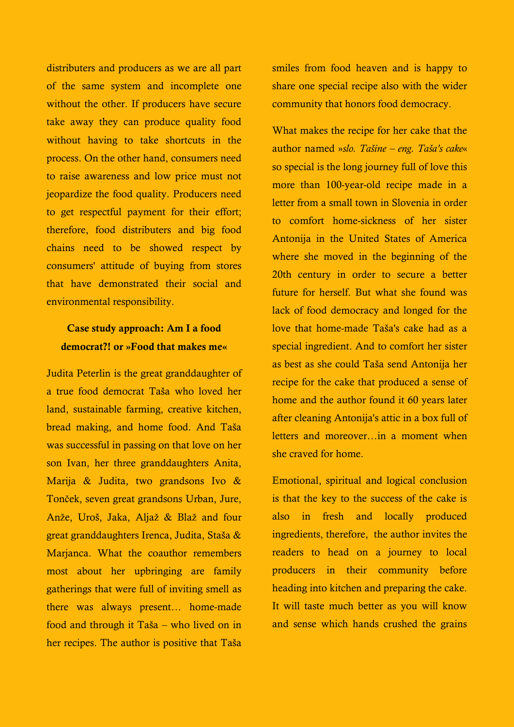distributers and producers as we are all part of the same system and incomplete one without the other. If producers have secure take away they can produce quality food without having to take shortcuts in the process. On the other hand, consumers need to raise awareness and low price must not jeopardize the food quality. Producers need to get respectful payment for their effort; therefore, food distributers and big food chains need to be showed respect by consumers' attitude of buying from stores that have demonstrated their social and environmental responsibility.

# **Case study approach: Am I a food democrat?! or »Food that makes me«**

Judita Peterlin is the great granddaughter of a true food democrat Taša who loved her land, sustainable farming, creative kitchen, bread making, and home food. And Taša was successful in passing on that love on her son Ivan, her three granddaughters Anita, Marija & Judita, two grandsons Ivo & Tonček, seven great grandsons Urban, Jure, Anže, Uroš, Jaka, Aljaž & Blaž and four great granddaughters Irenca, Judita, Staša & Marjanca. What the coauthor remembers most about her upbringing are family gatherings that were full of inviting smell as there was always present… home-made food and through it Taša – who lived on in her recipes. The author is positive that Taša smiles from food heaven and is happy to share one special recipe also with the wider community that honors food democracy.

What makes the recipe for her cake that the author named »*slo. Tašine – eng. Taša's cake*« so special is the long journey full of love this more than 100-year-old recipe made in a letter from a small town in Slovenia in order to comfort home-sickness of her sister Antonija in the United States of America where she moved in the beginning of the 20th century in order to secure a better future for herself. But what she found was lack of food democracy and longed for the love that home-made Taša's cake had as a special ingredient. And to comfort her sister as best as she could Taša send Antonija her recipe for the cake that produced a sense of home and the author found it 60 years later after cleaning Antonija's attic in a box full of letters and moreover…in a moment when she craved for home.

Emotional, spiritual and logical conclusion is that the key to the success of the cake is also in fresh and locally produced ingredients, therefore, the author invites the readers to head on a journey to local producers in their community before heading into kitchen and preparing the cake. It will taste much better as you will know and sense which hands crushed the grains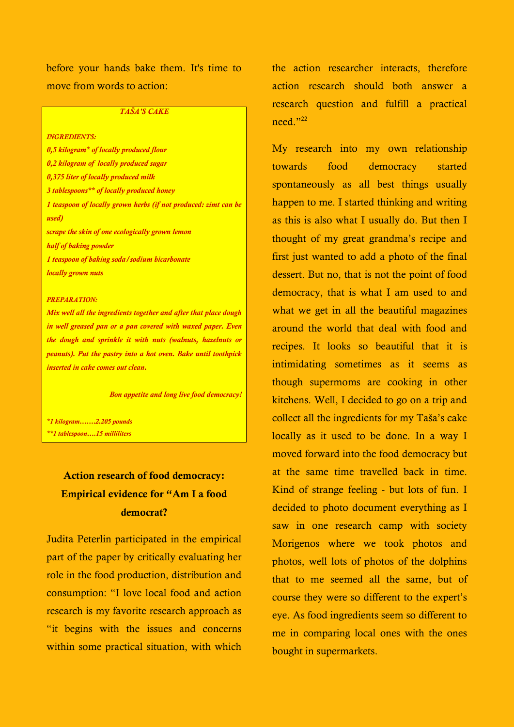before your hands bake them. It's time to move from words to action:

#### *TAŠA'S CAKE*

*INGREDIENTS: 0,5 kilogram\* of locally produced flour 0,2 kilogram of locally produced sugar 0,375 liter of locally produced milk 3 tablespoons\*\* of locally produced honey 1 teaspoon of locally grown herbs (if not produced: zimt can be used) scrape the skin of one ecologically grown lemon half of baking powder 1 teaspoon of baking soda/sodium bicarbonate locally grown nuts*

#### *PREPARATION:*

*Mix well all the ingredients together and after that place dough in well greased pan or a pan covered with waxed paper. Even the dough and sprinkle it with nuts (walnuts, hazelnuts or peanuts). Put the pastry into a hot oven. Bake until toothpick inserted in cake comes out clean.* 

*Bon appetite and long live food democracy!*

*\*1 kilogram…….2.205 pounds*

*\*\*1 tablespoon….15 milliliters*

# **Action research of food democracy: Empirical evidence for "Am I a food democrat?**

Judita Peterlin participated in the empirical part of the paper by critically evaluating her role in the food production, distribution and consumption: "I love local food and action research is my favorite research approach as "it begins with the issues and concerns within some practical situation, with which the action researcher interacts, therefore action research should both answer a research question and fulfill a practical need." 22

My research into my own relationship towards food democracy started spontaneously as all best things usually happen to me. I started thinking and writing as this is also what I usually do. But then I thought of my great grandma's recipe and first just wanted to add a photo of the final dessert. But no, that is not the point of food democracy, that is what I am used to and what we get in all the beautiful magazines around the world that deal with food and recipes. It looks so beautiful that it is intimidating sometimes as it seems as though supermoms are cooking in other kitchens. Well, I decided to go on a trip and collect all the ingredients for my Taša's cake locally as it used to be done. In a way I moved forward into the food democracy but at the same time travelled back in time. Kind of strange feeling - but lots of fun. I decided to photo document everything as I saw in one research camp with society Morigenos where we took photos and photos, well lots of photos of the dolphins that to me seemed all the same, but of course they were so different to the expert's eye. As food ingredients seem so different to me in comparing local ones with the ones bought in supermarkets.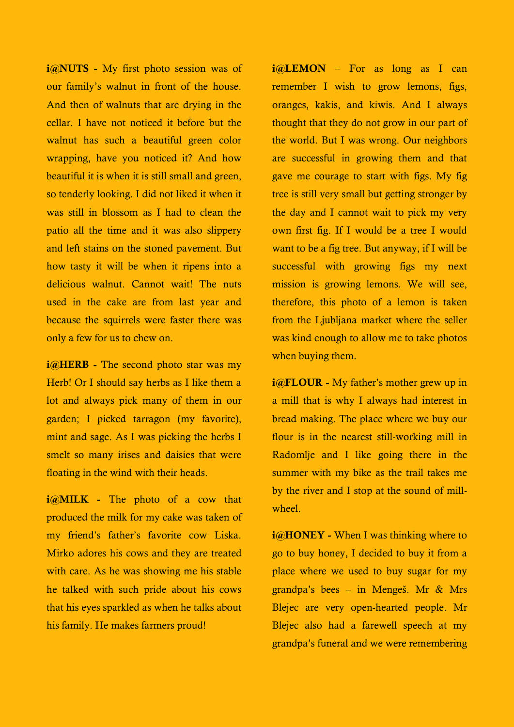**i@NUTS -** My first photo session was of our family's walnut in front of the house. And then of walnuts that are drying in the cellar. I have not noticed it before but the walnut has such a beautiful green color wrapping, have you noticed it? And how beautiful it is when it is still small and green, so tenderly looking. I did not liked it when it was still in blossom as I had to clean the patio all the time and it was also slippery and left stains on the stoned pavement. But how tasty it will be when it ripens into a delicious walnut. Cannot wait! The nuts used in the cake are from last year and because the squirrels were faster there was only a few for us to chew on.

**i@HERB -** The second photo star was my Herb! Or I should say herbs as I like them a lot and always pick many of them in our garden; I picked tarragon (my favorite), mint and sage. As I was picking the herbs I smelt so many irises and daisies that were floating in the wind with their heads.

**i@MILK -** The photo of a cow that produced the milk for my cake was taken of my friend's father's favorite cow Liska. Mirko adores his cows and they are treated with care. As he was showing me his stable he talked with such pride about his cows that his eyes sparkled as when he talks about his family. He makes farmers proud!

**i@LEMON** – For as long as I can remember I wish to grow lemons, figs, oranges, kakis, and kiwis. And I always thought that they do not grow in our part of the world. But I was wrong. Our neighbors are successful in growing them and that gave me courage to start with figs. My fig tree is still very small but getting stronger by the day and I cannot wait to pick my very own first fig. If I would be a tree I would want to be a fig tree. But anyway, if I will be successful with growing figs my next mission is growing lemons. We will see, therefore, this photo of a lemon is taken from the Liubliana market where the seller was kind enough to allow me to take photos when buying them.

*i@FLOUR* - My father's mother grew up in a mill that is why I always had interest in bread making. The place where we buy our flour is in the nearest still-working mill in Radomlje and I like going there in the summer with my bike as the trail takes me by the river and I stop at the sound of millwheel.

*i@HONEY* - When I was thinking where to go to buy honey, I decided to buy it from a place where we used to buy sugar for my grandpa's bees – in Mengeš. Mr & Mrs Blejec are very open-hearted people. Mr Blejec also had a farewell speech at my grandpa's funeral and we were remembering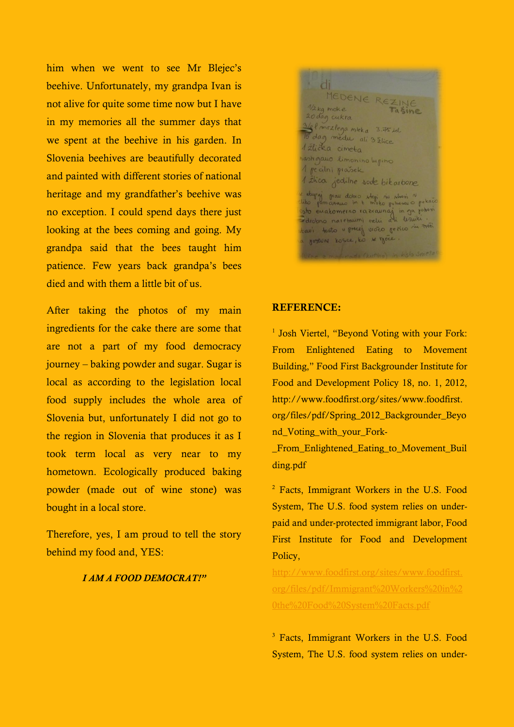him when we went to see Mr Blejec's beehive. Unfortunately, my grandpa Ivan is not alive for quite some time now but I have in my memories all the summer days that we spent at the beehive in his garden. In Slovenia beehives are beautifully decorated and painted with different stories of national heritage and my grandfather's beehive was no exception. I could spend days there just looking at the bees coming and going. My grandpa said that the bees taught him patience. Few years back grandpa's bees died and with them a little bit of us.

After taking the photos of my main ingredients for the cake there are some that are not a part of my food democracy journey – baking powder and sugar. Sugar is local as according to the legislation local food supply includes the whole area of Slovenia but, unfortunately I did not go to the region in Slovenia that produces it as I took term local as very near to my hometown. Ecologically produced baking powder (made out of wine stone) was bought in a local store.

Therefore, yes, I am proud to tell the story behind my food and, YES:

#### *I AM A FOOD DEMOCRAT!"*

' di MEDENE REZINE  $1/2$ kg moke 20 dag cukra 3/8 P michega mieka 3.75 del 15 dag medu ali 3 Elice *1 źlicka* cimeta astigauo limonino lupino 1 pecilni prasek 1 ilica jedilne sode bikarbone x stupaj prav dobro stepi su storoj si<br>liko pomanamo in i moto potocouro petačo<br>esto evatomerno razcavnaj in ga potesti<br>Zdrobno naretavimi oxturi ali lesuiti. tavi testo v precis vročo perico in tren governe kosce, lo x yèce

#### **REFERENCE:**

<sup>1</sup> Josh Viertel, "Beyond Voting with your Fork: From Enlightened Eating to Movement Building," Food First Backgrounder Institute for Food and Development Policy 18, no. 1, 2012, http://www.foodfirst.org/sites/www.foodfirst. org/files/pdf/Spring\_2012\_Backgrounder\_Beyo nd\_Voting\_with\_your\_Fork-

\_From\_Enlightened\_Eating\_to\_Movement\_Buil ding.pdf

<sup>2</sup> Facts, Immigrant Workers in the U.S. Food System, The U.S. food system relies on underpaid and under-protected immigrant labor, Food First Institute for Food and Development Policy,

[http://www.foodfirst.org/sites/www.foodfirst.](http://www.foodfirst.org/sites/www.foodfirst.org/files/pdf/Immigrant%20Workers%20in%20the%20Food%20System%20Facts.pdf) [org/files/pdf/Immigrant%20Workers%20in%2](http://www.foodfirst.org/sites/www.foodfirst.org/files/pdf/Immigrant%20Workers%20in%20the%20Food%20System%20Facts.pdf) [0the%20Food%20System%20Facts.pdf](http://www.foodfirst.org/sites/www.foodfirst.org/files/pdf/Immigrant%20Workers%20in%20the%20Food%20System%20Facts.pdf)

<sup>3</sup> Facts, Immigrant Workers in the U.S. Food System, The U.S. food system relies on under-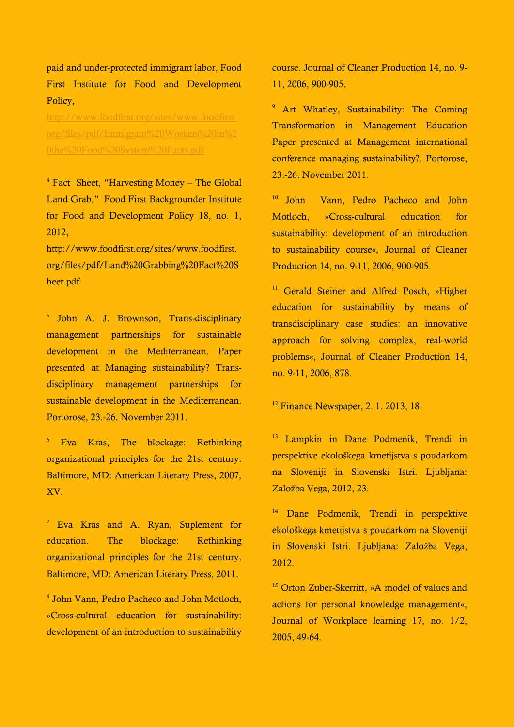paid and under-protected immigrant labor, Food First Institute for Food and Development Policy,

[http://www.foodfirst.org/sites/www.foodfirst.](http://www.foodfirst.org/sites/www.foodfirst.org/files/pdf/Immigrant%20Workers%20in%20the%20Food%20System%20Facts.pdf) [org/files/pdf/Immigrant%20Workers%20in%2](http://www.foodfirst.org/sites/www.foodfirst.org/files/pdf/Immigrant%20Workers%20in%20the%20Food%20System%20Facts.pdf) [0the%20Food%20System%20Facts.pdf](http://www.foodfirst.org/sites/www.foodfirst.org/files/pdf/Immigrant%20Workers%20in%20the%20Food%20System%20Facts.pdf)

<sup>4</sup> Fact Sheet, "Harvesting Money – The Global Land Grab," Food First Backgrounder Institute for Food and Development Policy 18, no. 1, 2012,

http://www.foodfirst.org/sites/www.foodfirst. org/files/pdf/Land%20Grabbing%20Fact%20S heet.pdf

5 John A. J. Brownson, Trans-disciplinary management partnerships for sustainable development in the Mediterranean. Paper presented at Managing sustainability? Transdisciplinary management partnerships for sustainable development in the Mediterranean. Portorose, 23.-26. November 2011.

<sup>6</sup> Eva Kras, The blockage: Rethinking organizational principles for the 21st century. Baltimore, MD: American Literary Press, 2007, XV.

<sup>7</sup> Eva Kras and A. Ryan, Suplement for education. The blockage: Rethinking organizational principles for the 21st century. Baltimore, MD: American Literary Press, 2011.

8 John Vann, Pedro Pacheco and John Motloch, »Cross-cultural education for sustainability: development of an introduction to sustainability

course. Journal of Cleaner Production 14, no. 9- 11, 2006, 900-905.

<sup>9</sup> Art Whatley, Sustainability: The Coming Transformation in Management Education Paper presented at Management international conference managing sustainability?, Portorose, 23.-26. November 2011.

<sup>10</sup> John Vann, Pedro Pacheco and John Motloch, »Cross-cultural education for sustainability: development of an introduction to sustainability course«, Journal of Cleaner Production 14, no. 9-11, 2006, 900-905.

<sup>11</sup> Gerald Steiner and Alfred Posch, »Higher education for sustainability by means of transdisciplinary case studies: an innovative approach for solving complex, real-world problems«, Journal of Cleaner Production 14, no. 9-11, 2006, 878.

 $12$  Finance Newspaper, 2, 1, 2013, 18

<sup>13</sup> Lampkin in Dane Podmenik, Trendi in perspektive ekološkega kmetijstva s poudarkom na Sloveniji in Slovenski Istri. Ljubljana: Založba Vega, 2012, 23.

<sup>14</sup> Dane Podmenik, Trendi in perspektive ekološkega kmetijstva s poudarkom na Sloveniji in Slovenski Istri. Ljubljana: Založba Vega, 2012.

<sup>15</sup> Orton Zuber-Skerritt, »A model of values and actions for personal knowledge management«, Journal of Workplace learning 17, no. 1/2, 2005, 49-64.